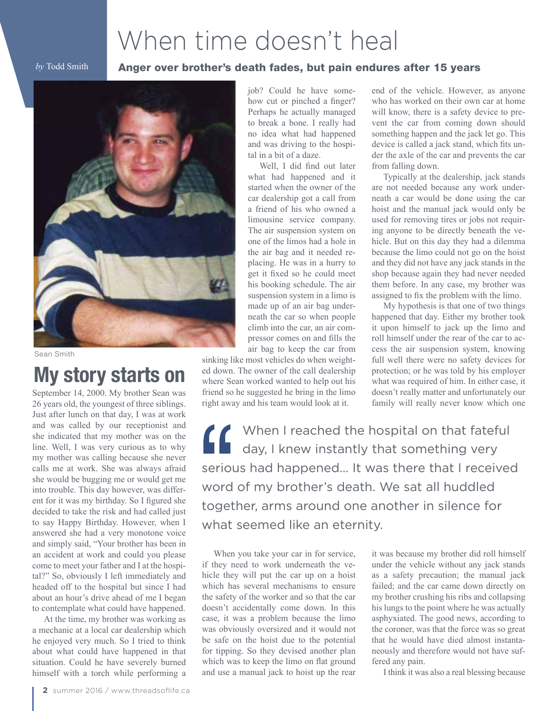## When time doesn't heal

*by* Todd Smith

## Anger over brother's death fades, but pain endures after 15 years



Sean Smith

## **My story starts on**

September 14, 2000. My brother Sean was 26 years old, the youngest of three siblings. Just after lunch on that day, I was at work and was called by our receptionist and she indicated that my mother was on the line. Well, I was very curious as to why my mother was calling because she never calls me at work. She was always afraid she would be bugging me or would get me into trouble. This day however, was different for it was my birthday. So I figured she decided to take the risk and had called just to say Happy Birthday. However, when I answered she had a very monotone voice and simply said, "Your brother has been in an accident at work and could you please come to meet your father and I at the hospital?" So, obviously I left immediately and headed off to the hospital but since I had about an hour's drive ahead of me I began to contemplate what could have happened.

At the time, my brother was working as a mechanic at a local car dealership which he enjoyed very much. So I tried to think about what could have happened in that situation. Could he have severely burned himself with a torch while performing a job? Could he have somehow cut or pinched a finger? Perhaps he actually managed to break a bone. I really had no idea what had happened and was driving to the hospital in a bit of a daze.

Well, I did find out later what had happened and it started when the owner of the car dealership got a call from a friend of his who owned a limousine service company. The air suspension system on one of the limos had a hole in the air bag and it needed replacing. He was in a hurry to get it fixed so he could meet his booking schedule. The air suspension system in a limo is made up of an air bag underneath the car so when people climb into the car, an air compressor comes on and fills the air bag to keep the car from

sinking like most vehicles do when weighted down. The owner of the call dealership where Sean worked wanted to help out his friend so he suggested he bring in the limo right away and his team would look at it.

end of the vehicle. However, as anyone who has worked on their own car at home will know, there is a safety device to prevent the car from coming down should something happen and the jack let go. This device is called a jack stand, which fits under the axle of the car and prevents the car from falling down.

Typically at the dealership, jack stands are not needed because any work underneath a car would be done using the car hoist and the manual jack would only be used for removing tires or jobs not requiring anyone to be directly beneath the vehicle. But on this day they had a dilemma because the limo could not go on the hoist and they did not have any jack stands in the shop because again they had never needed them before. In any case, my brother was assigned to fix the problem with the limo.

My hypothesis is that one of two things happened that day. Either my brother took it upon himself to jack up the limo and roll himself under the rear of the car to access the air suspension system, knowing full well there were no safety devices for protection; or he was told by his employer what was required of him. In either case, it doesn't really matter and unfortunately our family will really never know which one

When I reached the hospital on that fateful day, I knew instantly that something very serious had happened… It was there that I received word of my brother's death. We sat all huddled together, arms around one another in silence for what seemed like an eternity.

When you take your car in for service, if they need to work underneath the vehicle they will put the car up on a hoist which has several mechanisms to ensure the safety of the worker and so that the car doesn't accidentally come down. In this case, it was a problem because the limo was obviously oversized and it would not be safe on the hoist due to the potential for tipping. So they devised another plan which was to keep the limo on flat ground and use a manual jack to hoist up the rear it was because my brother did roll himself under the vehicle without any jack stands as a safety precaution; the manual jack failed; and the car came down directly on my brother crushing his ribs and collapsing his lungs to the point where he was actually asphyxiated. The good news, according to the coroner, was that the force was so great that he would have died almost instantaneously and therefore would not have suffered any pain.

I think it was also a real blessing because